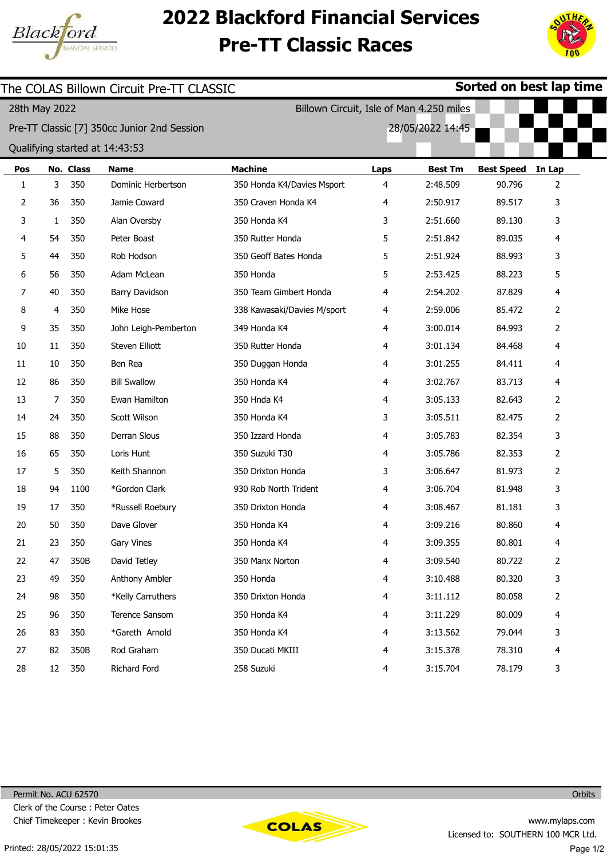

## 2022 Blackford Financial Services Pre-TT Classic Races



| The COLAS Billown Circuit Pre-TT CLASSIC                  |                |           |                                             |                             |      |                  | Sorted on best lap time |                |  |
|-----------------------------------------------------------|----------------|-----------|---------------------------------------------|-----------------------------|------|------------------|-------------------------|----------------|--|
| Billown Circuit, Isle of Man 4.250 miles<br>28th May 2022 |                |           |                                             |                             |      |                  |                         |                |  |
|                                                           |                |           | Pre-TT Classic [7] 350cc Junior 2nd Session |                             |      | 28/05/2022 14:45 |                         |                |  |
|                                                           |                |           | Qualifying started at 14:43:53              |                             |      |                  |                         |                |  |
| Pos                                                       |                | No. Class | <b>Name</b>                                 | <b>Machine</b>              | Laps | <b>Best Tm</b>   | <b>Best Speed</b>       | In Lap         |  |
| 1                                                         | 3              | 350       | Dominic Herbertson                          | 350 Honda K4/Davies Msport  | 4    | 2:48.509         | 90.796                  | 2              |  |
| 2                                                         | 36             | 350       | Jamie Coward                                | 350 Craven Honda K4         | 4    | 2:50.917         | 89.517                  | 3              |  |
| 3                                                         | 1              | 350       | Alan Oversby                                | 350 Honda K4                | 3    | 2:51.660         | 89.130                  | 3              |  |
| 4                                                         | 54             | 350       | Peter Boast                                 | 350 Rutter Honda            | 5    | 2:51.842         | 89.035                  | 4              |  |
| 5                                                         | 44             | 350       | Rob Hodson                                  | 350 Geoff Bates Honda       | 5    | 2:51.924         | 88.993                  | 3              |  |
| 6                                                         | 56             | 350       | Adam McLean                                 | 350 Honda                   | 5    | 2:53.425         | 88.223                  | 5              |  |
| 7                                                         | 40             | 350       | Barry Davidson                              | 350 Team Gimbert Honda      | 4    | 2:54.202         | 87.829                  | 4              |  |
| 8                                                         | 4              | 350       | Mike Hose                                   | 338 Kawasaki/Davies M/sport | 4    | 2:59.006         | 85.472                  | 2              |  |
| 9                                                         | 35             | 350       | John Leigh-Pemberton                        | 349 Honda K4                | 4    | 3:00.014         | 84.993                  | 2              |  |
| 10                                                        | 11             | 350       | Steven Elliott                              | 350 Rutter Honda            | 4    | 3:01.134         | 84.468                  | 4              |  |
| 11                                                        | 10             | 350       | Ben Rea                                     | 350 Duggan Honda            | 4    | 3:01.255         | 84.411                  | 4              |  |
| 12                                                        | 86             | 350       | <b>Bill Swallow</b>                         | 350 Honda K4                | 4    | 3:02.767         | 83.713                  | 4              |  |
| 13                                                        | $\overline{7}$ | 350       | Ewan Hamilton                               | 350 Hnda K4                 | 4    | 3:05.133         | 82.643                  | 2              |  |
| 14                                                        | 24             | 350       | Scott Wilson                                | 350 Honda K4                | 3    | 3:05.511         | 82.475                  | 2              |  |
| 15                                                        | 88             | 350       | Derran Slous                                | 350 Izzard Honda            | 4    | 3:05.783         | 82.354                  | 3              |  |
| 16                                                        | 65             | 350       | Loris Hunt                                  | 350 Suzuki T30              | 4    | 3:05.786         | 82.353                  | 2              |  |
| 17                                                        | 5              | 350       | Keith Shannon                               | 350 Drixton Honda           | 3    | 3:06.647         | 81.973                  | $\overline{2}$ |  |
| 18                                                        | 94             | 1100      | *Gordon Clark                               | 930 Rob North Trident       | 4    | 3:06.704         | 81.948                  | 3              |  |
| 19                                                        | 17             | 350       | *Russell Roebury                            | 350 Drixton Honda           | 4    | 3:08.467         | 81.181                  | 3              |  |
| 20                                                        | 50             | 350       | Dave Glover                                 | 350 Honda K4                | 4    | 3:09.216         | 80.860                  | 4              |  |
| 21                                                        | 23             | 350       | Gary Vines                                  | 350 Honda K4                | 4    | 3:09.355         | 80.801                  | 4              |  |
| 22                                                        | 47             | 350B      | David Tetley                                | 350 Manx Norton             | 4    | 3:09.540         | 80.722                  | $\overline{2}$ |  |
| 23                                                        | 49             | 350       | Anthony Ambler                              | 350 Honda                   | 4    | 3:10.488         | 80.320                  | 3              |  |
| 24                                                        | 98             | 350       | *Kelly Carruthers                           | 350 Drixton Honda           | 4    | 3:11.112         | 80.058                  | 2              |  |
| 25                                                        | 96             | 350       | Terence Sansom                              | 350 Honda K4                | 4    | 3:11.229         | 80.009                  | 4              |  |
| 26                                                        | 83             | 350       | *Gareth Arnold                              | 350 Honda K4                | 4    | 3:13.562         | 79.044                  | 3              |  |
| 27                                                        | 82             | 350B      | Rod Graham                                  | 350 Ducati MKIII            | 4    | 3:15.378         | 78.310                  | 4              |  |
| 28                                                        | 12             | 350       | Richard Ford                                | 258 Suzuki                  | 4    | 3:15.704         | 78.179                  | 3              |  |

Permit No. ACU 62570 Clerk of the Course : Peter Oates Chief Timekeeper : Kevin Brookes



**Orbits**